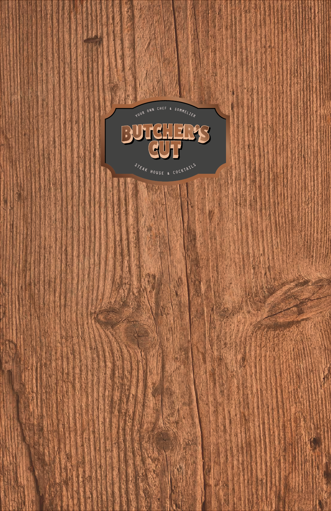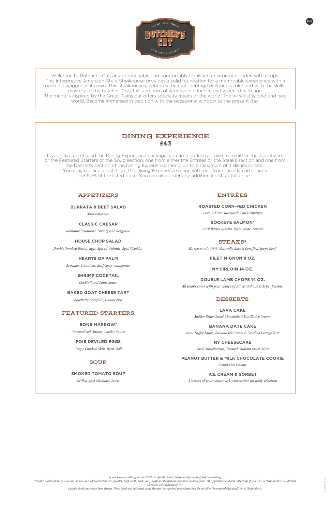### Appetizers

**BURRATA & BEET SALAD**

*Aged Balsamic*

**CLASSIC CAESAR** *Romaine, Croutons, Parmigiano Reggiano*

**HOUSE CHOP SALAD**

*Double Smoked Bacon, Eggs, Spiced Walnuts, Aged Cheddar*

**HEARTS OF PALM**

*Avocado, Tomatoes, Raspberry Vinaigrette*

### **SHRIMP COCKTAIL**

*Cocktail and Louis Sauce*

**BAKED GOAT CHEESE TART**

*Blueberry Compote, Lemon Zest*

### Featured Starters

STEAKS\* *We serve only 100% Naturally Raised Certified Angus Beef.*

### **BONE MARROW\***

*Caramelized Onions, Parsley Sauce*

**FOIE DEVILED EGGS** *Crispy Chicken Skin, Herb Aioli*

# **SOUP**

**SMOKED TOMATO SOUP**

# **ENTREES**

*Grilled Aged Cheddar Cheese*

**ROASTED CORN-FED CHICKEN**

*Corn & Lima Succotash, Pan Drippings*

**SOCKEYE SALMON\*** *Corn Barley Risotto, Salsa Verde, Lemon*

**FILET MIGNON 8 OZ.**

**NY SIRLOIN 14 OZ.**

**DOUBLE LAMB CHOPS 14 OZ.** *All steaks come with your choice of sauce and one side per person.*

### **DESSERTS**

**LAVA CAKE** *Molten Bitter Sweet Chocolate & Vanilla Ice Cream*

**BANANA DATE CAKE**

*Rum Toffee Sauce, Banana Ice Cream & Candied Orange Zest*

**NY CHEESECAKE**

*Fresh Strawberries, Toasted Graham Crust, Mint*

### **PEANUT BUTTER & MILK CHOCOLATE COOKIE**

*Vanilla Ice Cream*

#### **ICE CREAM & SORBET**

*3 scoops of your choice: ask your waiter for daily selection*

\* Public bealth advisory: Consuming raw or undercooked meats (poultry, beef, lamb, pork, etc.), seafood, shellfish or eggs may increase your risk of foodborne illness, especially if you have certain medical conditions. *All prices are inclusive of VAT.*



Welcome to Butcher's Cut, an approachable and comfortably furnished environment laden with chops. This interpretive American-Style-Steakhouse provides a solid foundation for a memorable experience with a touch of swagger all its own. This steakhouse celebrates the craft heritage of America blended with the skillful mastery of the butcher. Cocktails are born of American influence and wizened with age. The menu is inspired by the Great Plains but offers specialty meats of the world. The wine list is bold and new world. Become immersed in tradition with the occasional window to the present day.

If you have purchased the Dining Experience package, you are entitled to 1 dish from either the Appetizers or the Featured Starters or the Soup section, one from either the Entrées or the Steaks section and one from the Desserts section of the Dining Experience menu, up to a maximum of 3 dishes in total. You may replace a dish from the Dining Experience menu with one from the à la carte menu for 50% of the listed price. You can also order any additional dish at full price.

*If you have any allergy or sensitivity to specific foods, please notify our staff before ordering.*

*Certain foods may have been frozen. These foods are defrosted using the most scrupulous procedures that do not alter the organoleptic qualities of the products.*

# Dining Experience **£**43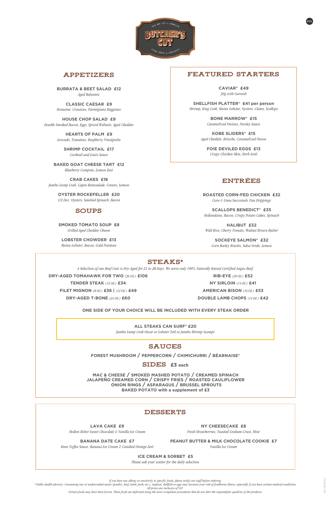*If you have any allergy or sensitivity to specific foods, please notify our staff before ordering.*

\* Public health advisory: Consuming raw or undercooked meats (poultry, beef, lamb, pork, etc.), seafood, shellfish or eggs may increase your risk of foodborne illness, especially if you have certain medical conditions. *All prices are inclusive of VAT.*

*Certain foods may have been frozen. These foods are defrosted using the most scrupulous procedures that do not alter the organoleptic qualities of the products.*



# Appetizers

**BURRATA & BEET SALAD £12**  *Aged Balsamic*

**CLASSIC CAESAR £9**  *Romaine, Croutons, Parmigiano Reggiano*

**HOUSE CHOP SALAD £9**  *Double Smoked Bacon, Eggs, Spiced Walnuts, Aged Cheddar*

> **HEARTS OF PALM £9**  *Avocado, Tomatoes, Raspberry Vinaigrette*

**SHRIMP COCKTAIL £17**  *Cocktail and Louis Sauce*

**BAKED GOAT CHEESE TART £12**  *Blueberry Compote, Lemon Zest*

**CRAB CAKES £16**  *Jumbo Lump Crab, Cajun Remoulade, Greens, Lemon*

> **OYSTER ROCKEFELLER £20**  *1/2 Doz. Oysters, Sautéed Spinach, Bacon*

# **SOUPS**

**SMOKED TOMATO SOUP £8**  *Grilled Aged Cheddar Cheese*

**LOBSTER CHOWDER £13**  *Maine Lobster, Bacon, Gold Potatoes*

**LAVA CAKE £9** 

*Molten Bitter Sweet Chocolate & Vanilla Ice Cream*

#### **BANANA DATE CAKE £7**

*Rum Toffee Sauce, Banana Ice Cream & Candied Orange Zest*

### **NY CHEESECAKE £8**

*Fresh Strawberries, Toasted Graham Crust, Mint*

#### **PEANUT BUTTER & MILK CHOCOLATE COOKIE £7**

*Vanilla Ice Cream*

#### **ICE CREAM & SORBET £5**

*Please ask your waiter for the daily selection*

**FOREST MUSHROOM / PEPPERCORN / CHIMICHURRI / BÉARNAISE\***

SIDES £3 each

**MAC & CHEESE / SMOKED MASHED POTATO / CREAMED SPINACH**

**JALAPEÑO CREAMED CORN / CRISPY FRIES / ROASTED CAULIFLOWER ONION RINGS / ASPARAGUS / BRUSSEL SPROUTS BAKED POTATO with a supplement of £3**

### **DESSERTS**

## ENTREEs

**ROASTED CORN-FED CHICKEN £32**  *Corn & Lima Succotash, Pan Drippings*

**SCALLOPS BENEDICT\* £35**  *Hollandaise, Bacon, Crispy Potato Cakes, Spinach*

**HALIBUT £32**  *Wild Rice, Cherry Tomato, Walnut Brown Butter*

**SOCKEYE SALMON\* £32**  *Corn Barley Risotto, Salsa Verde, Lemon*

### STEAKS\*

# Featured Starters

**CAVIAR\* £49**  *30g with Garnish*

**SHELLFISH PLATTER\* £41 per person** *Shrimp, King Crab, Maine Lobster, Oysters, Clams, Scallops*

> **BONE MARROW\* £15**  *Caramelized Onions, Parsley Sauce*

**KOBE SLIDERS\* £15**  *Aged Cheddar, Brioche, Caramelized Onion*

**FOIE DEVILED EGGS £13**  *Crispy Chicken Skin, Herb Aioli*

*A Selection of our Beef Cuts is Dry-Aged for 21 to 28 Days. We serve only 100% Naturally Raised Certified Angus Beef.*

**DRY-AGED TOMAHAWK FOR TWO** *(36 OZ.)* **£106**

**TENDER STEAK** *(12 OZ.)* **£34**

**FILET MIGNON** *(8 OZ.)* **£36 |** *(12 OZ.)* **£49**

**DRY-AGED T-BONE** *(24 OZ.)* **£60**

**RIB-EYE** *(20 OZ.)* **£52 NY SIRLOIN** *(14 OZ.)* **£41 AMERICAN BISON** *(16 OZ.)* **£53 DOUBLE LAMB CHOPS** *(14 OZ.)* **£42**

**ONE SIDE OF YOUR CHOICE WILL BE INCLUDED WITH EVERY STEAK ORDER**

**ALL STEAKS CAN SURF\* £20**  *Jumbo Lump Crab Oscar or Lobster Tail or Jumbo Shrimp Scampi*

# **SAUCES**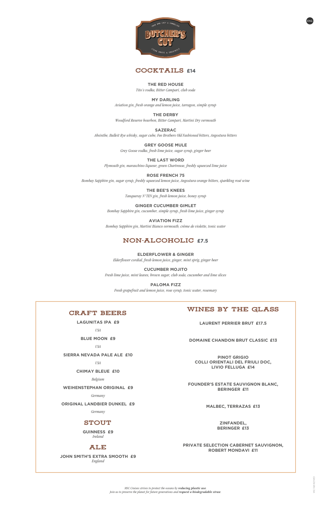



### **THE RED HOUSE**

*Tito's vodka, Bitter Campari, club soda*

### **MY DARLING**

*Aviation gin, fresh orange and lemon juice, tarragon, simple syrup*

**THE DERBY** *Woodford Reserve bourbon, Bitter Campari, Martini Dry vermouth*

### **SAZERAC**

*Absinthe, Bulleit Rye whisky, sugar cube, Fee Brothers Old Fashioned bitters, Angostura bitters*

### **GREY GOOSE MULE**

*Grey Goose vodka, fresh lime juice, sugar syrup, ginger beer*

### **THE LAST WORD**

*Plymouth gin, maraschino liqueur, green Chartreuse, freshly squeezed lime juice*

**ROSE FRENCH 75**

*Bombay Sapphire gin, sugar syrup, freshly squeezed lemon juice, Angostura orange bitters, sparkling rosé wine*

### **THE BEE'S KNEES**

*Tanqueray N°TEN gin, fresh lemon juice, honey syrup*

### **GINGER CUCUMBER GIMLET** *Bombay Sapphire gin, cucumber, simple syrup, fresh lime juice, ginger syrup*

**AVIATION FIZZ** *Bombay Sapphire gin, Martini Bianco vermouth, crème de violette, tonic water*

# Non-alcoholic **£7.5**

### **ELDERFLOWER & GINGER**

*Elderflower cordial, fresh lemon juice, ginger, mint sprig, ginger beer*

### **CUCUMBER MOJITO**

*Fresh lime juice, mint leaves, brown sugar, club soda, cucumber and lime slices*

### **PALOMA FIZZ**

*Fresh grapefruit and lemon juice, rose syrup, tonic water, rosemary*

*MSC Cruises strives to protect the oceans by reducing plastic use. Join us to preserve the planet for future generations and request a biodegradable straw.*

**LAGUNITAS IPA £9** *USA* **BLUE MOON £9** *USA* **SIERRA NEVADA PALE ALE £10**

*USA*

**CHIMAY BLEUE £10**

*Belgium*

#### **WEIHENSTEPHAN ORIGINAL £9**

*Germany*

#### **ORIGINAL LANDBIER DUNKEL £9**

*Germany*

### **STOUT**

**GUINNESS £9** *Ireland*

# Ale

**JOHN SMITH'S EXTRA SMOOTH £9** *England*

# Wines By The Glass

**LAURENT PERRIER BRUT £17.5**

### **DOMAINE CHANDON BRUT CLASSIC £13**

**PINOT GRIGIO COLLI ORIENTALI DEL FRIULI DOC, LIVIO FELLUGA £14**

### **CRAFT BEERS**

### **FOUNDER'S ESTATE SAUVIGNON BLANC, BERINGER £11**

**MALBEC, TERRAZAS £13**

**ZINFANDEL, BERINGER £13**

#### **PRIVATE SELECTION CABERNET SAUVIGNON, ROBERT MONDAVI £11**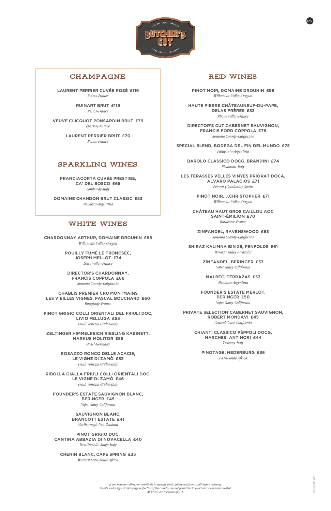

# **CHAMPAGNE**

*If you have any allergy or sensitivity to specific foods, please notify our staff before ordering. Guests under legal drinking age respective of the country are not permitted to purchase or consume alcohol. All prices are inclusive of VAT.*

**LAURENT PERRIER CUVÉE ROSÉ £119** *Reims-France* 

> **RUINART BRUT £119** *Reims-France*

**VEUVE CLICQUOT PONSARDIN BRUT £79** *Épernay-France* 

> **LAURENT PERRIER BRUT £70** *Reims-France*

# Sparkling Wines

**FRANCIACORTA CUVÉE PRESTIGE, CA' DEL BOSCO £65** *Lombardy-Italy* 

**DOMAINE CHANDON BRUT CLASSIC £53** *Mendoza-Argentina* 

### WHITE WINES

**CHARDONNAY ARTHUR, DOMAINE DROUHIN £98** *Willamette Valley-Oregon* 

> **POUILLY FUMÉ LE TRONCSEC, JOSEPH MELLOT £74**

> > *Loire Valley-France*

**DIRECTOR'S CHARDONNAY, FRANCIS COPPOLA £66** *Sonoma County-California* 

**CHABLIS PREMIER CRU MONTMAINS LES VIEILLES VIGNES, PASCAL BOUCHARD £60** *Burgundy-France* 

**PINOT GRIGIO COLLI ORIENTALI DEL FRIULI DOC, LIVIO FELLUGA £55** *Friuli Venezia Giulia-Italy* 

**ZELTINGER HIMMELREICH RIESLING KABINETT, MARKUS MOLITOR £55** *Mosel-Germany* 

> **ROSAZZO RONCO DELLE ACACIE, LE VIGNE DI ZAMÒ £53** *Friuli Venezia Giulia-Italy*

**RIBOLLA GIALLA FRIULI COLLI ORIENTALI DOC,** 

#### **LE VIGNE DI ZAMÒ £46**

*Friuli Venezia Giulia-Italy* 

### **FOUNDER'S ESTATE SAUVIGNON BLANC, BERINGER £45**

*Napa Valley-California* 

### **SAUVIGNON BLANC, BRANCOTT ESTATE £41**

*Marlborough-New Zealand* 

### **PINOT GRIGIO DOC, CANTINA ABBAZIA DI NOVACELLA £40**

*Trentino Alto Adige-Italy* 

### **CHENIN BLANC, CAPE SPRING £35**

*Western Cape-South Africa* 

# Red Wines

**PINOT NOIR, DOMAINE DROUHIN £98** *Willamette Valley-Oregon* 

**HAUTE PIERRE CHÂTEAUNEUF-DU-PAPE, DELAS FRÈRES £83** *Rhône Valley-France* 

**DIRECTOR'S CUT CABERNET SAUVIGNON, FRANCIS FORD COPPOLA £78** *Sonoma County-California* 

**SPECIAL BLEND, BODEGA DEL FIN DEL MUNDO £75** *Patagonia-Argentina* 

**BAROLO CLASSICO DOCG, BRANDINI £74** *Piedmont-Italy* 

**LES TERASSES VELLES VINYES PRIORAT DOCA, ALVARO PALACIOS £71** *Priorat (Catalonia)-Spain* 

> **PINOT NOIR, J.CHRISTOPHER £71** *Willamette Valley-Oregon*

**CHÂTEAU HAUT GROS CAILLOU AOC SAINT-ÉMILION £70** *Bordeaux-France* 

**ZINFANDEL, RAVENSWOOD £63** *Sonoma County-California* 

**SHIRAZ KALIMNA BIN 28, PENFOLDS £61** *Barossa Valley-Australia* 

> **ZINFANDEL, BERINGER £53** *Napa Valley-California*

**MALBEC, TERRAZAS £53** *Mendoza-Argentina* 

**FOUNDER'S ESTATE MERLOT, BERINGER £50** *Napa Valley-California* 

**PRIVATE SELECTION CABERNET SAUVIGNON, ROBERT MONDAVI £45**

*Central Coast-California* 

**CHIANTI CLASSICO PÈPPOLI DOCG, MARCHESI ANTINORI £44** *Tuscany-Italy* 

**PINOTAGE, NEDERBURG £36**

*Paarl-South Africa*